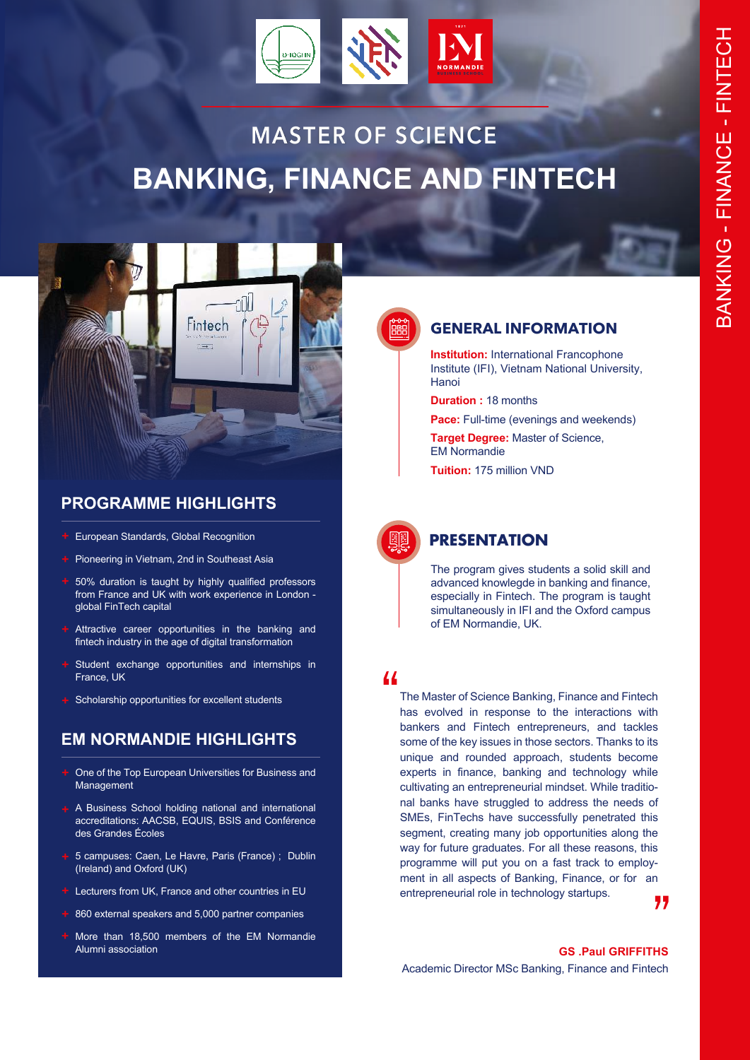

# **MASTER OF SCIENCE BANKING, FINANCE AND FINTECH**



# **PROGRAMME HIGHLIGHTS**

- European Standards, Global Recognition
- **+** Pioneering in Vietnam, 2nd in Southeast Asia
- 50% duration is taught by highly qualified professors from France and UK with work experience in London global FinTech capital
- Attractive career opportunities in the banking and fintech industry in the age of digital transformation
- Student exchange opportunities and internships in France, UK
- **+** Scholarship opportunities for excellent students

# **EM NORMANDIE HIGHLIGHTS**

- One of the Top European Universities for Business and Management
- **+** A Business School holding national and international accreditations: AACSB, EQUIS, BSIS and Conférence des Grandes Écoles
- **+** 5 campuses: Caen, Le Havre, Paris (France) ; Dublin (Ireland) and Oxford (UK)
- **+** Lecturers from UK, France and other countries in EU
- 860 external speakers and 5,000 partner companies
- More than 18,500 members of the EM Normandie Alumni association **GS .Paul GRIFFITHS**



### **GENERAL INFORMATION**

**Institution:** International Francophone Institute (IFI), Vietnam National University, Hanoi

**Duration :** 18 months

**Pace:** Full-time (evenings and weekends)

**Target Degree: Master of Science,** EM Normandie

**Tuition:** 175 million VND



## **PRESENTATION**

The program gives students a solid skill and advanced knowlegde in banking and finance, especially in Fintech. The program is taught simultaneously in IFI and the Oxford campus of EM Normandie, UK.

 $\mathbf{1}$ 

The Master of Science Banking, Finance and Fintech has evolved in response to the interactions with bankers and Fintech entrepreneurs, and tackles some of the key issues in those sectors. Thanks to its unique and rounded approach, students become experts in finance, banking and technology while cultivating an entrepreneurial mindset. While traditional banks have struggled to address the needs of SMEs, FinTechs have successfully penetrated this segment, creating many job opportunities along the way for future graduates. For all these reasons, this programme will put you on a fast track to employment in all aspects of Banking, Finance, or for an entrepreneurial role in technology startups.

77

Academic Director MSc Banking, Finance and Fintech